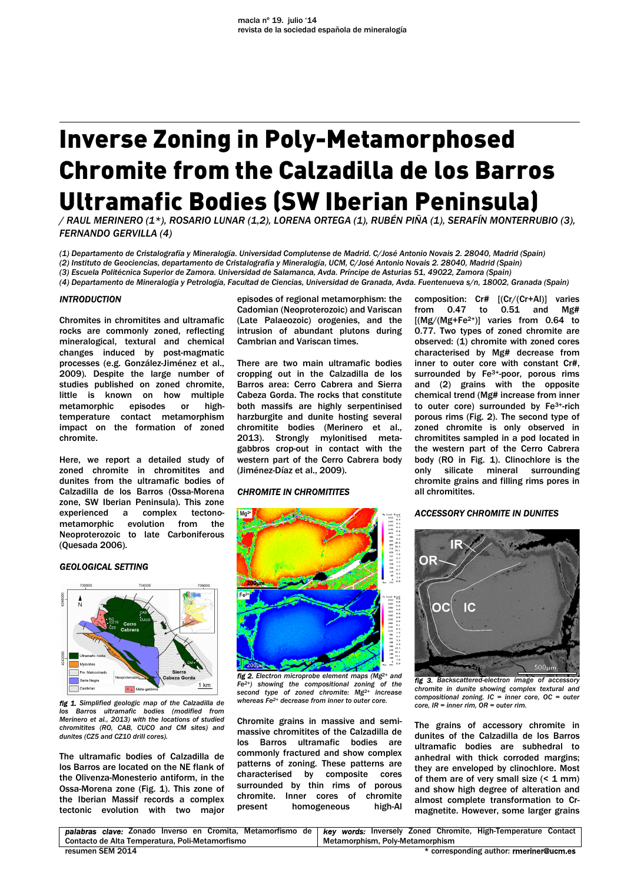# Inverse Zoning in Poly-Metamorphosed Chromite from the Calzadilla de los Barros Ultramafic Bodies (SW Iberian Peninsula)

*/ RAUL MERINERO (1\*), ROSARIO LUNAR (1,2), LORENA ORTEGA (1), RUBÉN PIÑA (1), SERAFÍN MONTERRUBIO (3), FERNANDO GERVILLA (4)* 

*(1) Departamento de Cristalografía y Mineralogía. Universidad Complutense de Madrid. C/José Antonio Novais 2. 28040, Madrid (Spain) (2) Instituto de Geociencias, departamento de Cristalografía y Mineralogía, UCM, C/José Antonio Novais 2. 28040, Madrid (Spain)* 

*(3) Escuela Politécnica Superior de Zamora. Universidad de Salamanca, Avda. Príncipe de Asturias 51, 49022, Zamora (Spain)* 

*(4) Departamento de Mineralogía y Petrología, Facultad de Ciencias, Universidad de Granada, Avda. Fuentenueva s/n, 18002, Granada (Spain)*

## *INTRODUCTION*

Chromites in chromitites and ultramafic rocks are commonly zoned, reflecting mineralogical, textural and chemical changes induced by post-magmatic processes (e.g. González-Jiménez et al., 2009). Despite the large number of studies published on zoned chromite, little is known on how multiple metamorphic episodes or hightemperature contact metamorphism impact on the formation of zoned chromite.

Here, we report a detailed study of zoned chromite in chromitites and dunites from the ultramafic bodies of Calzadilla de los Barros (Ossa-Morena zone, SW Iberian Peninsula). This zone experienced a complex tectonometamorphic evolution from the Neoproterozoic to late Carboniferous (Quesada 2006).

### *GEOLOGICAL SETTING*



*fig 1. Simplified geologic map of the Calzadilla de los Barros ultramafic bodies (modified from Merinero et al., 2013) with the locations of studied chromitites (RO, CAB, CUCO and CM sites) and dunites (CZ5 and CZ10 drill cores).* 

The ultramafic bodies of Calzadilla de los Barros are located on the NE flank of the Olivenza-Monesterio antiform, in the Ossa-Morena zone (Fig. 1). This zone of the Iberian Massif records a complex tectonic evolution with two major

episodes of regional metamorphism: the Cadomian (Neoproterozoic) and Variscan (Late Palaeozoic) orogenies, and the intrusion of abundant plutons during Cambrian and Variscan times.

There are two main ultramafic bodies cropping out in the Calzadilla de los Barros area: Cerro Cabrera and Sierra Cabeza Gorda. The rocks that constitute both massifs are highly serpentinised harzburgite and dunite hosting several chromitite bodies (Merinero et al., 2013). Strongly mylonitised metagabbros crop-out in contact with the western part of the Cerro Cabrera body (Jiménez-Díaz et al., 2009).

## *CHROMITE IN CHROMITITES*



*fig 2. Electron microprobe element maps (Mg2+ and Fe2+) showing the compositional zoning of the second type of zoned chromite: Mg2+ increase whereas Fe2+ decrease from inner to outer core.* 

Chromite grains in massive and semimassive chromitites of the Calzadilla de los Barros ultramafic bodies are commonly fractured and show complex patterns of zoning. These patterns are characterised by composite cores surrounded by thin rims of porous chromite. Inner cores of chromite present homogeneous high-Al composition: Cr# [(Cr/(Cr+Al)] varies from 0.47 to 0.51 and Mg# [(Mg/(Mg+Fe2+)] varies from 0.64 to 0.77. Two types of zoned chromite are observed: (1) chromite with zoned cores characterised by Mg# decrease from inner to outer core with constant Cr#, surrounded by Fe<sup>3+</sup>-poor, porous rims and (2) grains with the opposite chemical trend (Mg# increase from inner to outer core) surrounded by Fe3+-rich porous rims (Fig. 2). The second type of zoned chromite is only observed in chromitites sampled in a pod located in the western part of the Cerro Cabrera body (RO in Fig. 1). Clinochlore is the only silicate mineral surrounding chromite grains and filling rims pores in all chromitites.

## *ACCESSORY CHROMITE IN DUNITES*



*fig 3. Backscattered-electron image of accessory chromite in dunite showing complex textural and compositional zoning. IC = inner core, OC = outer core, IR = inner rim, OR = outer rim.* 

The grains of accessory chromite in dunites of the Calzadilla de los Barros ultramafic bodies are subhedral to anhedral with thick corroded margins; they are enveloped by clinochlore. Most of them are of very small size  $(5.1 \text{ mm})$ and show high degree of alteration and almost complete transformation to Crmagnetite. However, some larger grains

|                                                 |  |  |  |  |  |  |  |                                 |  |  |  |  | palabras clave: Zonado Inverso en Cromita, Metamorfismo de   key words: Inversely Zoned Chromite, High-Temperature Contact |  |
|-------------------------------------------------|--|--|--|--|--|--|--|---------------------------------|--|--|--|--|----------------------------------------------------------------------------------------------------------------------------|--|
| Contacto de Alta Temperatura, Poli-Metamorfismo |  |  |  |  |  |  |  | Metamorphism, Polv-Metamorphism |  |  |  |  |                                                                                                                            |  |
| resumen SEM 2014                                |  |  |  |  |  |  |  |                                 |  |  |  |  | * corresponding author: rmeriner@ucm.es                                                                                    |  |